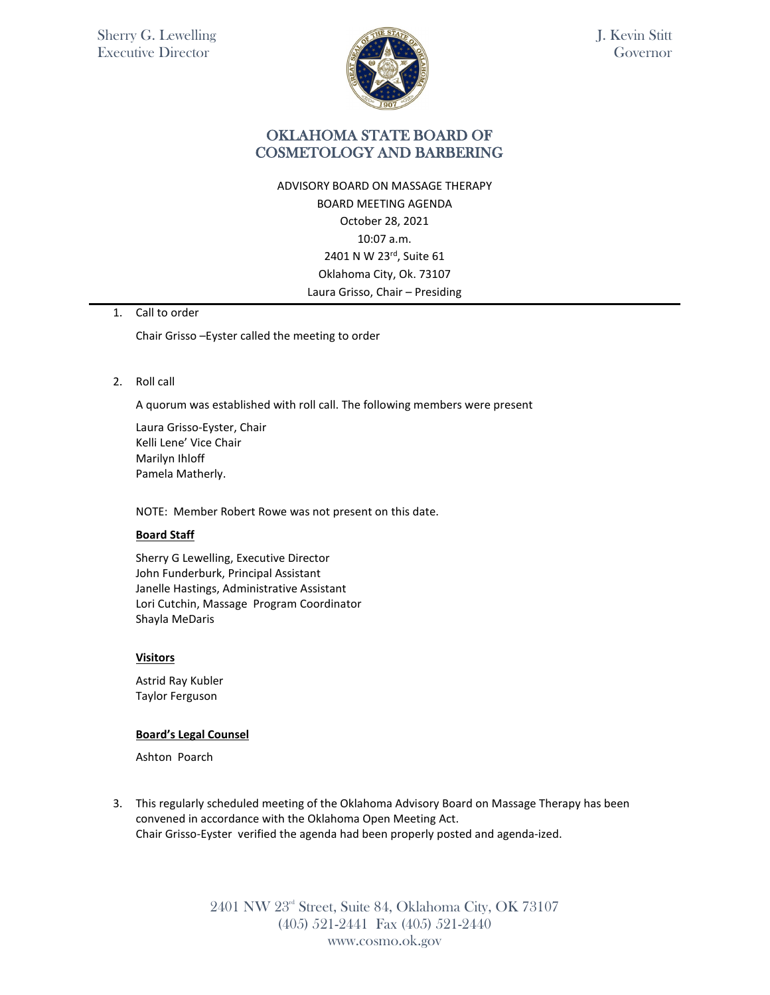

J. Kevin Stitt Governor

## OKLAHOMA STATE BOARD OF COSMETOLOGY AND BARBERING

ADVISORY BOARD ON MASSAGE THERAPY BOARD MEETING AGENDA October 28, 2021 10:07 a.m. 2401 N W 23rd, Suite 61 Oklahoma City, Ok. 73107 Laura Grisso, Chair – Presiding

## 1. Call to order

Chair Grisso –Eyster called the meeting to order

### 2. Roll call

A quorum was established with roll call. The following members were present

Laura Grisso-Eyster, Chair Kelli Lene' Vice Chair Marilyn Ihloff Pamela Matherly.

NOTE: Member Robert Rowe was not present on this date.

### **Board Staff**

Sherry G Lewelling, Executive Director John Funderburk, Principal Assistant Janelle Hastings, Administrative Assistant Lori Cutchin, Massage Program Coordinator Shayla MeDaris

#### **Visitors**

Astrid Ray Kubler Taylor Ferguson

### **Board's Legal Counsel**

Ashton Poarch

3. This regularly scheduled meeting of the Oklahoma Advisory Board on Massage Therapy has been convened in accordance with the Oklahoma Open Meeting Act. Chair Grisso-Eyster verified the agenda had been properly posted and agenda-ized.

> 2401 NW 23rd Street, Suite 84, Oklahoma City, OK 73107 (405) 521-2441 Fax (405) 521-2440 www.cosmo.ok.gov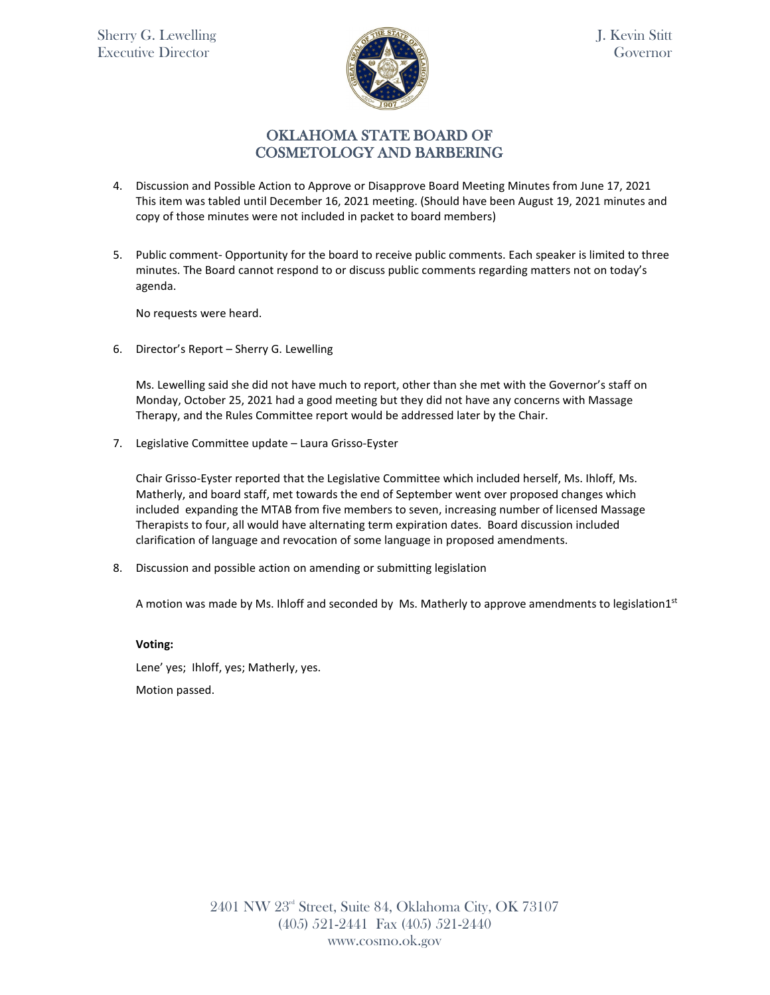

J. Kevin Stitt Governor

# OKLAHOMA STATE BOARD OF COSMETOLOGY AND BARBERING

- 4. Discussion and Possible Action to Approve or Disapprove Board Meeting Minutes from June 17, 2021 This item was tabled until December 16, 2021 meeting. (Should have been August 19, 2021 minutes and copy of those minutes were not included in packet to board members)
- 5. Public comment- Opportunity for the board to receive public comments. Each speaker is limited to three minutes. The Board cannot respond to or discuss public comments regarding matters not on today's agenda.

No requests were heard.

6. Director's Report – Sherry G. Lewelling

Ms. Lewelling said she did not have much to report, other than she met with the Governor's staff on Monday, October 25, 2021 had a good meeting but they did not have any concerns with Massage Therapy, and the Rules Committee report would be addressed later by the Chair.

7. Legislative Committee update – Laura Grisso-Eyster

Chair Grisso-Eyster reported that the Legislative Committee which included herself, Ms. Ihloff, Ms. Matherly, and board staff, met towards the end of September went over proposed changes which included expanding the MTAB from five members to seven, increasing number of licensed Massage Therapists to four, all would have alternating term expiration dates. Board discussion included clarification of language and revocation of some language in proposed amendments.

8. Discussion and possible action on amending or submitting legislation

A motion was made by Ms. Ihloff and seconded by Ms. Matherly to approve amendments to legislation1st

**Voting:** 

Lene' yes; Ihloff, yes; Matherly, yes. Motion passed.